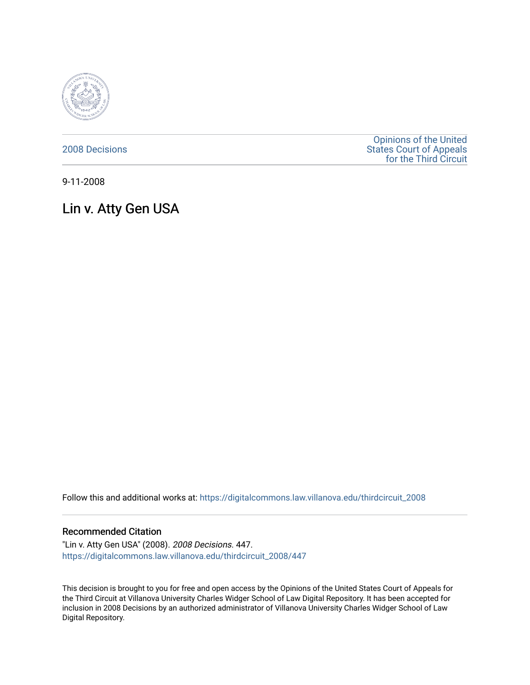

[2008 Decisions](https://digitalcommons.law.villanova.edu/thirdcircuit_2008)

[Opinions of the United](https://digitalcommons.law.villanova.edu/thirdcircuit)  [States Court of Appeals](https://digitalcommons.law.villanova.edu/thirdcircuit)  [for the Third Circuit](https://digitalcommons.law.villanova.edu/thirdcircuit) 

9-11-2008

# Lin v. Atty Gen USA

Follow this and additional works at: [https://digitalcommons.law.villanova.edu/thirdcircuit\\_2008](https://digitalcommons.law.villanova.edu/thirdcircuit_2008?utm_source=digitalcommons.law.villanova.edu%2Fthirdcircuit_2008%2F447&utm_medium=PDF&utm_campaign=PDFCoverPages) 

## Recommended Citation

"Lin v. Atty Gen USA" (2008). 2008 Decisions. 447. [https://digitalcommons.law.villanova.edu/thirdcircuit\\_2008/447](https://digitalcommons.law.villanova.edu/thirdcircuit_2008/447?utm_source=digitalcommons.law.villanova.edu%2Fthirdcircuit_2008%2F447&utm_medium=PDF&utm_campaign=PDFCoverPages)

This decision is brought to you for free and open access by the Opinions of the United States Court of Appeals for the Third Circuit at Villanova University Charles Widger School of Law Digital Repository. It has been accepted for inclusion in 2008 Decisions by an authorized administrator of Villanova University Charles Widger School of Law Digital Repository.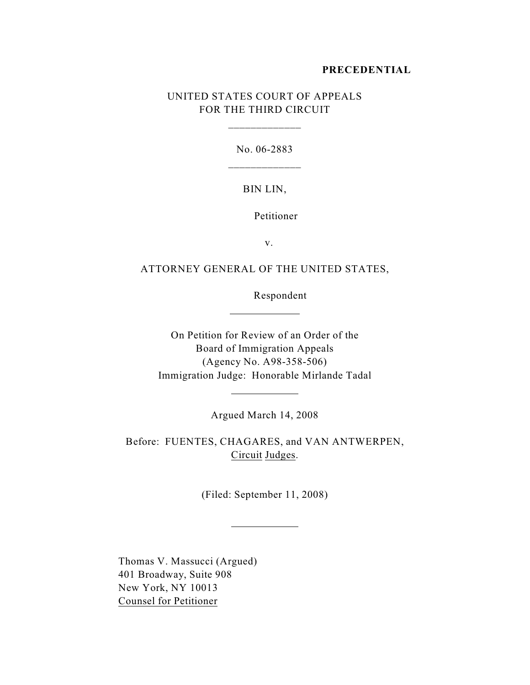#### **PRECEDENTIAL**

# UNITED STATES COURT OF APPEALS FOR THE THIRD CIRCUIT

\_\_\_\_\_\_\_\_\_\_\_\_\_

No. 06-2883 \_\_\_\_\_\_\_\_\_\_\_\_\_

### BIN LIN,

# Petitioner

v.

# ATTORNEY GENERAL OF THE UNITED STATES,

 $\overline{a}$ 

l

l

Respondent

On Petition for Review of an Order of the Board of Immigration Appeals (Agency No. A98-358-506) Immigration Judge: Honorable Mirlande Tadal

Argued March 14, 2008

Before: FUENTES, CHAGARES, and VAN ANTWERPEN, Circuit Judges.

(Filed: September 11, 2008)

Thomas V. Massucci (Argued) 401 Broadway, Suite 908 New York, NY 10013 Counsel for Petitioner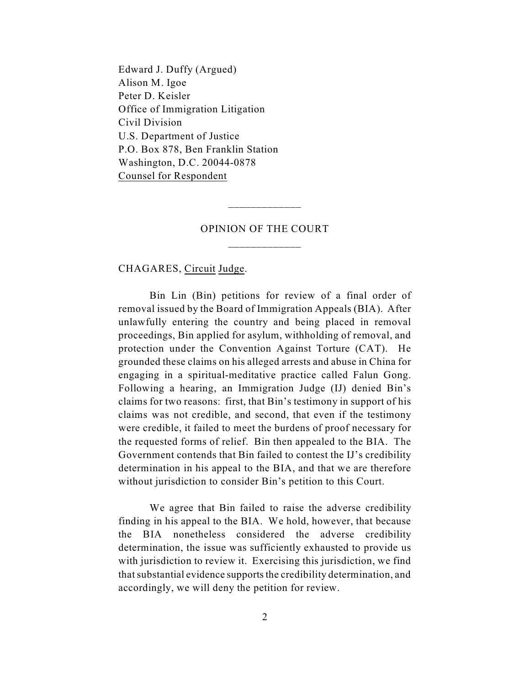Edward J. Duffy (Argued) Alison M. Igoe Peter D. Keisler Office of Immigration Litigation Civil Division U.S. Department of Justice P.O. Box 878, Ben Franklin Station Washington, D.C. 20044-0878 Counsel for Respondent

# OPINION OF THE COURT \_\_\_\_\_\_\_\_\_\_\_\_\_

\_\_\_\_\_\_\_\_\_\_\_\_\_

CHAGARES, Circuit Judge.

Bin Lin (Bin) petitions for review of a final order of removal issued by the Board of Immigration Appeals (BIA). After unlawfully entering the country and being placed in removal proceedings, Bin applied for asylum, withholding of removal, and protection under the Convention Against Torture (CAT). He grounded these claims on his alleged arrests and abuse in China for engaging in a spiritual-meditative practice called Falun Gong. Following a hearing, an Immigration Judge (IJ) denied Bin's claims for two reasons: first, that Bin's testimony in support of his claims was not credible, and second, that even if the testimony were credible, it failed to meet the burdens of proof necessary for the requested forms of relief. Bin then appealed to the BIA. The Government contends that Bin failed to contest the IJ's credibility determination in his appeal to the BIA, and that we are therefore without jurisdiction to consider Bin's petition to this Court.

We agree that Bin failed to raise the adverse credibility finding in his appeal to the BIA. We hold, however, that because the BIA nonetheless considered the adverse credibility determination, the issue was sufficiently exhausted to provide us with jurisdiction to review it. Exercising this jurisdiction, we find that substantial evidence supports the credibility determination, and accordingly, we will deny the petition for review.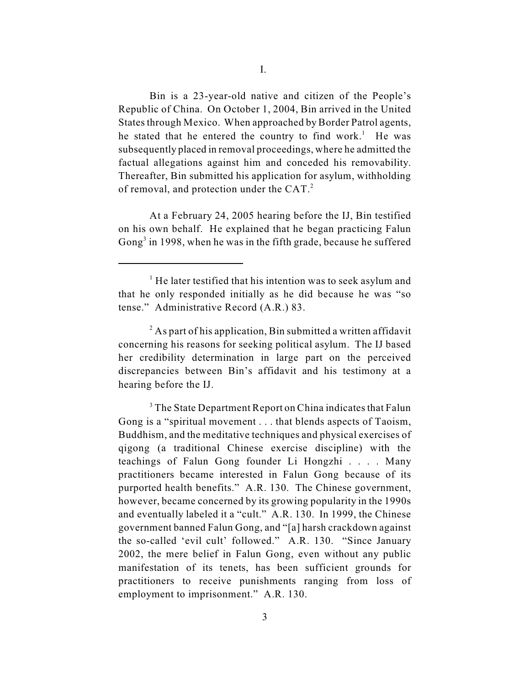Bin is a 23-year-old native and citizen of the People's Republic of China. On October 1, 2004, Bin arrived in the United States through Mexico. When approached by Border Patrol agents, he stated that he entered the country to find work.<sup>1</sup> He was subsequently placed in removal proceedings, where he admitted the factual allegations against him and conceded his removability. Thereafter, Bin submitted his application for asylum, withholding of removal, and protection under the CAT.<sup>2</sup>

At a February 24, 2005 hearing before the IJ, Bin testified on his own behalf. He explained that he began practicing Falun Gong<sup>3</sup> in 1998, when he was in the fifth grade, because he suffered

 $<sup>1</sup>$  He later testified that his intention was to seek asylum and</sup> that he only responded initially as he did because he was "so tense." Administrative Record (A.R.) 83.

 $^{2}$  As part of his application, Bin submitted a written affidavit concerning his reasons for seeking political asylum. The IJ based her credibility determination in large part on the perceived discrepancies between Bin's affidavit and his testimony at a hearing before the IJ.

<sup>&</sup>lt;sup>3</sup> The State Department Report on China indicates that Falun Gong is a "spiritual movement . . . that blends aspects of Taoism, Buddhism, and the meditative techniques and physical exercises of qigong (a traditional Chinese exercise discipline) with the teachings of Falun Gong founder Li Hongzhi . . . . Many practitioners became interested in Falun Gong because of its purported health benefits." A.R. 130. The Chinese government, however, became concerned by its growing popularity in the 1990s and eventually labeled it a "cult." A.R. 130. In 1999, the Chinese government banned Falun Gong, and "[a] harsh crackdown against the so-called 'evil cult' followed." A.R. 130. "Since January 2002, the mere belief in Falun Gong, even without any public manifestation of its tenets, has been sufficient grounds for practitioners to receive punishments ranging from loss of employment to imprisonment." A.R. 130.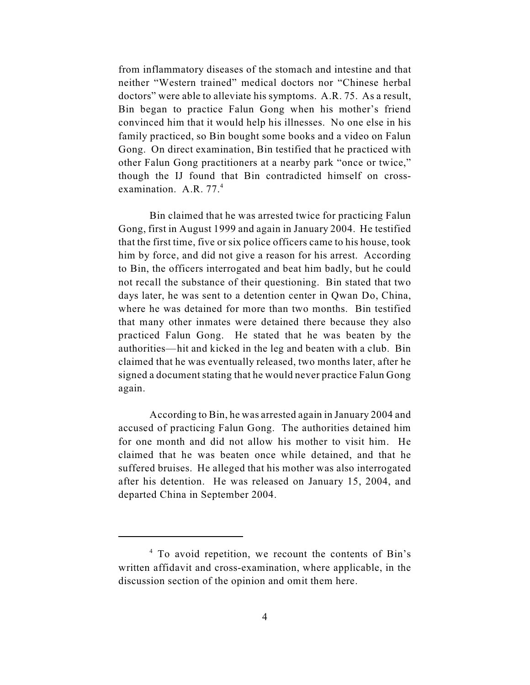from inflammatory diseases of the stomach and intestine and that neither "Western trained" medical doctors nor "Chinese herbal doctors" were able to alleviate his symptoms. A.R. 75. As a result, Bin began to practice Falun Gong when his mother's friend convinced him that it would help his illnesses. No one else in his family practiced, so Bin bought some books and a video on Falun Gong. On direct examination, Bin testified that he practiced with other Falun Gong practitioners at a nearby park "once or twice," though the IJ found that Bin contradicted himself on crossexamination. A.R. 77.<sup>4</sup>

Bin claimed that he was arrested twice for practicing Falun Gong, first in August 1999 and again in January 2004. He testified that the first time, five or six police officers came to his house, took him by force, and did not give a reason for his arrest. According to Bin, the officers interrogated and beat him badly, but he could not recall the substance of their questioning. Bin stated that two days later, he was sent to a detention center in Qwan Do, China, where he was detained for more than two months. Bin testified that many other inmates were detained there because they also practiced Falun Gong. He stated that he was beaten by the authorities—hit and kicked in the leg and beaten with a club. Bin claimed that he was eventually released, two months later, after he signed a document stating that he would never practice Falun Gong again.

According to Bin, he was arrested again in January 2004 and accused of practicing Falun Gong. The authorities detained him for one month and did not allow his mother to visit him. He claimed that he was beaten once while detained, and that he suffered bruises. He alleged that his mother was also interrogated after his detention. He was released on January 15, 2004, and departed China in September 2004.

 $<sup>4</sup>$  To avoid repetition, we recount the contents of Bin's</sup> written affidavit and cross-examination, where applicable, in the discussion section of the opinion and omit them here.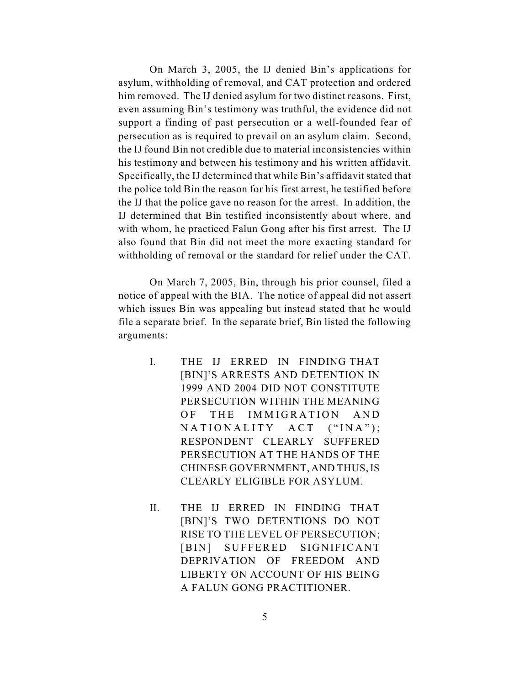On March 3, 2005, the IJ denied Bin's applications for asylum, withholding of removal, and CAT protection and ordered him removed. The IJ denied asylum for two distinct reasons. First, even assuming Bin's testimony was truthful, the evidence did not support a finding of past persecution or a well-founded fear of persecution as is required to prevail on an asylum claim. Second, the IJ found Bin not credible due to material inconsistencies within his testimony and between his testimony and his written affidavit. Specifically, the IJ determined that while Bin's affidavit stated that the police told Bin the reason for his first arrest, he testified before the IJ that the police gave no reason for the arrest. In addition, the IJ determined that Bin testified inconsistently about where, and with whom, he practiced Falun Gong after his first arrest. The IJ also found that Bin did not meet the more exacting standard for withholding of removal or the standard for relief under the CAT.

On March 7, 2005, Bin, through his prior counsel, filed a notice of appeal with the BIA. The notice of appeal did not assert which issues Bin was appealing but instead stated that he would file a separate brief. In the separate brief, Bin listed the following arguments:

- I. THE IJ ERRED IN FINDING THAT [BIN]'S ARRESTS AND DETENTION IN 1999 AND 2004 DID NOT CONSTITUTE PERSECUTION WITHIN THE MEANING OF THE IMMIGRATION AND  $NATIONALLY$   $ACT$   $( "INA");$ RESPONDENT CLEARLY SUFFERED PERSECUTION AT THE HANDS OF THE CHINESE GOVERNMENT, AND THUS, IS CLEARLY ELIGIBLE FOR ASYLUM.
- II. THE IJ ERRED IN FINDING THAT [BIN]'S TWO DETENTIONS DO NOT RISE TO THE LEVEL OF PERSECUTION; [BIN] SUFFERED SIGNIFICANT DEPRIVATION OF FREEDOM AND LIBERTY ON ACCOUNT OF HIS BEING A FALUN GONG PRACTITIONER.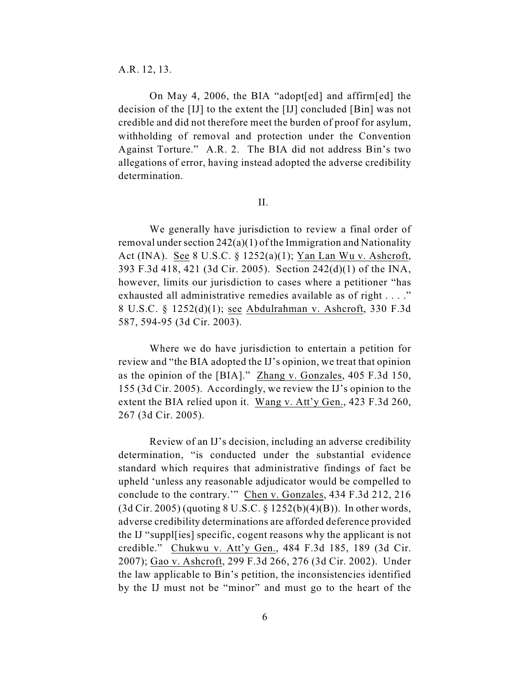A.R. 12, 13.

On May 4, 2006, the BIA "adopt[ed] and affirm[ed] the decision of the [IJ] to the extent the [IJ] concluded [Bin] was not credible and did not therefore meet the burden of proof for asylum, withholding of removal and protection under the Convention Against Torture." A.R. 2. The BIA did not address Bin's two allegations of error, having instead adopted the adverse credibility determination.

II.

We generally have jurisdiction to review a final order of removal under section 242(a)(1) of the Immigration and Nationality Act (INA). See 8 U.S.C. § 1252(a)(1); Yan Lan Wu v. Ashcroft, 393 F.3d 418, 421 (3d Cir. 2005). Section 242(d)(1) of the INA, however, limits our jurisdiction to cases where a petitioner "has exhausted all administrative remedies available as of right . . . ." 8 U.S.C. § 1252(d)(1); see Abdulrahman v. Ashcroft, 330 F.3d 587, 594-95 (3d Cir. 2003).

Where we do have jurisdiction to entertain a petition for review and "the BIA adopted the IJ's opinion, we treat that opinion as the opinion of the [BIA]." Zhang v. Gonzales, 405 F.3d 150, 155 (3d Cir. 2005). Accordingly, we review the IJ's opinion to the extent the BIA relied upon it. Wang v. Att'y Gen., 423 F.3d 260, 267 (3d Cir. 2005).

Review of an IJ's decision, including an adverse credibility determination, "is conducted under the substantial evidence standard which requires that administrative findings of fact be upheld 'unless any reasonable adjudicator would be compelled to conclude to the contrary.'" Chen v. Gonzales, 434 F.3d 212, 216 (3d Cir. 2005) (quoting 8 U.S.C. § 1252(b)(4)(B)). In other words, adverse credibility determinations are afforded deference provided the IJ "suppl[ies] specific, cogent reasons why the applicant is not credible." Chukwu v. Att'y Gen., 484 F.3d 185, 189 (3d Cir. 2007); Gao v. Ashcroft, 299 F.3d 266, 276 (3d Cir. 2002). Under the law applicable to Bin's petition, the inconsistencies identified by the IJ must not be "minor" and must go to the heart of the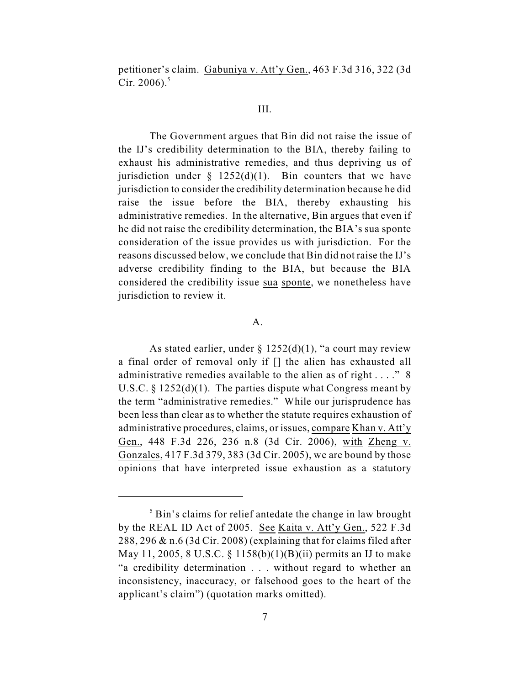petitioner's claim. Gabuniya v. Att'y Gen., 463 F.3d 316, 322 (3d Cir. 2006). $5$ 

# III.

The Government argues that Bin did not raise the issue of the IJ's credibility determination to the BIA, thereby failing to exhaust his administrative remedies, and thus depriving us of jurisdiction under  $\S$  1252(d)(1). Bin counters that we have jurisdiction to consider the credibility determination because he did raise the issue before the BIA, thereby exhausting his administrative remedies. In the alternative, Bin argues that even if he did not raise the credibility determination, the BIA's sua sponte consideration of the issue provides us with jurisdiction. For the reasons discussed below, we conclude that Bin did not raise the IJ's adverse credibility finding to the BIA, but because the BIA considered the credibility issue sua sponte, we nonetheless have jurisdiction to review it.

### A.

As stated earlier, under  $\S 1252(d)(1)$ , "a court may review a final order of removal only if [] the alien has exhausted all administrative remedies available to the alien as of right . . . ." 8 U.S.C.  $\S 1252(d)(1)$ . The parties dispute what Congress meant by the term "administrative remedies." While our jurisprudence has been less than clear as to whether the statute requires exhaustion of administrative procedures, claims, or issues, compare Khan v. Att'y Gen., 448 F.3d 226, 236 n.8 (3d Cir. 2006), with Zheng v. Gonzales, 417 F.3d 379, 383 (3d Cir. 2005), we are bound by those opinions that have interpreted issue exhaustion as a statutory

 $<sup>5</sup>$  Bin's claims for relief antedate the change in law brought</sup> by the REAL ID Act of 2005. See Kaita v. Att'y Gen., 522 F.3d 288, 296 & n.6 (3d Cir. 2008) (explaining that for claims filed after May 11, 2005, 8 U.S.C. § 1158(b)(1)(B)(ii) permits an IJ to make "a credibility determination . . . without regard to whether an inconsistency, inaccuracy, or falsehood goes to the heart of the applicant's claim") (quotation marks omitted).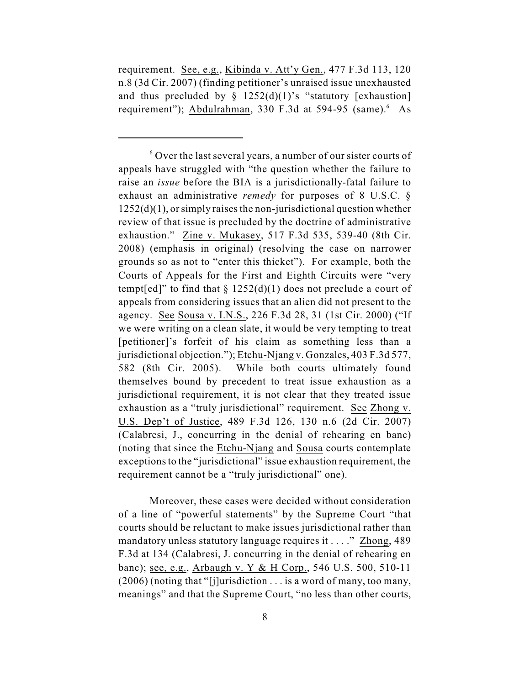requirement. See, e.g., Kibinda v. Att'y Gen., 477 F.3d 113, 120 n.8 (3d Cir. 2007) (finding petitioner's unraised issue unexhausted and thus precluded by  $\S$  1252(d)(1)'s "statutory [exhaustion] requirement"); Abdulrahman, 330 F.3d at 594-95 (same). As

Moreover, these cases were decided without consideration of a line of "powerful statements" by the Supreme Court "that courts should be reluctant to make issues jurisdictional rather than mandatory unless statutory language requires it . . . ." Zhong, 489 F.3d at 134 (Calabresi, J. concurring in the denial of rehearing en banc); see, e.g., Arbaugh v. Y & H Corp., 546 U.S. 500, 510-11 (2006) (noting that "[j]urisdiction . . . is a word of many, too many, meanings" and that the Supreme Court, "no less than other courts,

 $6$  Over the last several years, a number of our sister courts of appeals have struggled with "the question whether the failure to raise an *issue* before the BIA is a jurisdictionally-fatal failure to exhaust an administrative *remedy* for purposes of 8 U.S.C. §  $1252(d)(1)$ , or simply raises the non-jurisdictional question whether review of that issue is precluded by the doctrine of administrative exhaustion." Zine v. Mukasey, 517 F.3d 535, 539-40 (8th Cir. 2008) (emphasis in original) (resolving the case on narrower grounds so as not to "enter this thicket"). For example, both the Courts of Appeals for the First and Eighth Circuits were "very tempt[ed]" to find that  $\S 1252(d)(1)$  does not preclude a court of appeals from considering issues that an alien did not present to the agency. See Sousa v. I.N.S., 226 F.3d 28, 31 (1st Cir. 2000) ("If we were writing on a clean slate, it would be very tempting to treat [petitioner]'s forfeit of his claim as something less than a jurisdictional objection."); Etchu-Njang v. Gonzales, 403 F.3d 577, 582 (8th Cir. 2005). While both courts ultimately found themselves bound by precedent to treat issue exhaustion as a jurisdictional requirement, it is not clear that they treated issue exhaustion as a "truly jurisdictional" requirement. See Zhong v. U.S. Dep't of Justice, 489 F.3d 126, 130 n.6 (2d Cir. 2007) (Calabresi, J., concurring in the denial of rehearing en banc) (noting that since the Etchu-Njang and Sousa courts contemplate exceptions to the "jurisdictional" issue exhaustion requirement, the requirement cannot be a "truly jurisdictional" one).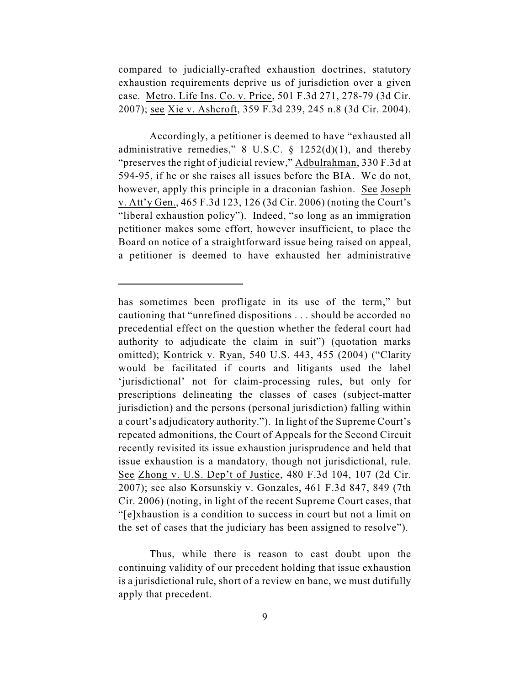compared to judicially-crafted exhaustion doctrines, statutory exhaustion requirements deprive us of jurisdiction over a given case. Metro. Life Ins. Co. v. Price, 501 F.3d 271, 278-79 (3d Cir. 2007); see Xie v. Ashcroft, 359 F.3d 239, 245 n.8 (3d Cir. 2004).

Accordingly, a petitioner is deemed to have "exhausted all administrative remedies," 8 U.S.C.  $\S$  1252(d)(1), and thereby "preserves the right of judicial review," Adbulrahman, 330 F.3d at 594-95, if he or she raises all issues before the BIA. We do not, however, apply this principle in a draconian fashion. See Joseph v. Att'y Gen., 465 F.3d 123, 126 (3d Cir. 2006) (noting the Court's "liberal exhaustion policy"). Indeed, "so long as an immigration petitioner makes some effort, however insufficient, to place the Board on notice of a straightforward issue being raised on appeal, a petitioner is deemed to have exhausted her administrative

Thus, while there is reason to cast doubt upon the continuing validity of our precedent holding that issue exhaustion is a jurisdictional rule, short of a review en banc, we must dutifully apply that precedent.

has sometimes been profligate in its use of the term," but cautioning that "unrefined dispositions . . . should be accorded no precedential effect on the question whether the federal court had authority to adjudicate the claim in suit") (quotation marks omitted); Kontrick v. Ryan, 540 U.S. 443, 455 (2004) ("Clarity would be facilitated if courts and litigants used the label 'jurisdictional' not for claim-processing rules, but only for prescriptions delineating the classes of cases (subject-matter jurisdiction) and the persons (personal jurisdiction) falling within a court's adjudicatory authority."). In light of the Supreme Court's repeated admonitions, the Court of Appeals for the Second Circuit recently revisited its issue exhaustion jurisprudence and held that issue exhaustion is a mandatory, though not jurisdictional, rule. See Zhong v. U.S. Dep't of Justice, 480 F.3d 104, 107 (2d Cir. 2007); see also Korsunskiy v. Gonzales, 461 F.3d 847, 849 (7th Cir. 2006) (noting, in light of the recent Supreme Court cases, that "[e]xhaustion is a condition to success in court but not a limit on the set of cases that the judiciary has been assigned to resolve").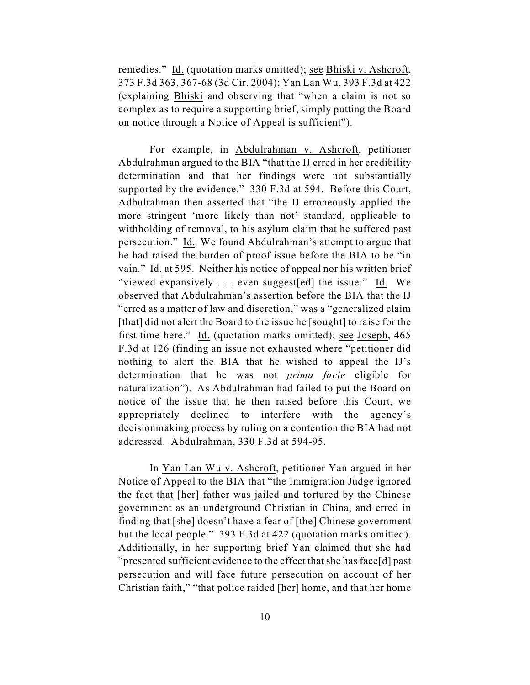remedies." Id. (quotation marks omitted); see Bhiski v. Ashcroft, 373 F.3d 363, 367-68 (3d Cir. 2004); Yan Lan Wu, 393 F.3d at 422 (explaining Bhiski and observing that "when a claim is not so complex as to require a supporting brief, simply putting the Board on notice through a Notice of Appeal is sufficient").

For example, in Abdulrahman v. Ashcroft, petitioner Abdulrahman argued to the BIA "that the IJ erred in her credibility determination and that her findings were not substantially supported by the evidence." 330 F.3d at 594. Before this Court, Adbulrahman then asserted that "the IJ erroneously applied the more stringent 'more likely than not' standard, applicable to withholding of removal, to his asylum claim that he suffered past persecution." Id. We found Abdulrahman's attempt to argue that he had raised the burden of proof issue before the BIA to be "in vain." Id. at 595. Neither his notice of appeal nor his written brief "viewed expansively . . . even suggest[ed] the issue." Id. We observed that Abdulrahman's assertion before the BIA that the IJ "erred as a matter of law and discretion," was a "generalized claim [that] did not alert the Board to the issue he [sought] to raise for the first time here." Id. (quotation marks omitted); see Joseph, 465 F.3d at 126 (finding an issue not exhausted where "petitioner did nothing to alert the BIA that he wished to appeal the IJ's determination that he was not *prima facie* eligible for naturalization"). As Abdulrahman had failed to put the Board on notice of the issue that he then raised before this Court, we appropriately declined to interfere with the agency's decisionmaking process by ruling on a contention the BIA had not addressed. Abdulrahman, 330 F.3d at 594-95.

In Yan Lan Wu v. Ashcroft, petitioner Yan argued in her Notice of Appeal to the BIA that "the Immigration Judge ignored the fact that [her] father was jailed and tortured by the Chinese government as an underground Christian in China, and erred in finding that [she] doesn't have a fear of [the] Chinese government but the local people." 393 F.3d at 422 (quotation marks omitted). Additionally, in her supporting brief Yan claimed that she had "presented sufficient evidence to the effect that she has face[d] past persecution and will face future persecution on account of her Christian faith," "that police raided [her] home, and that her home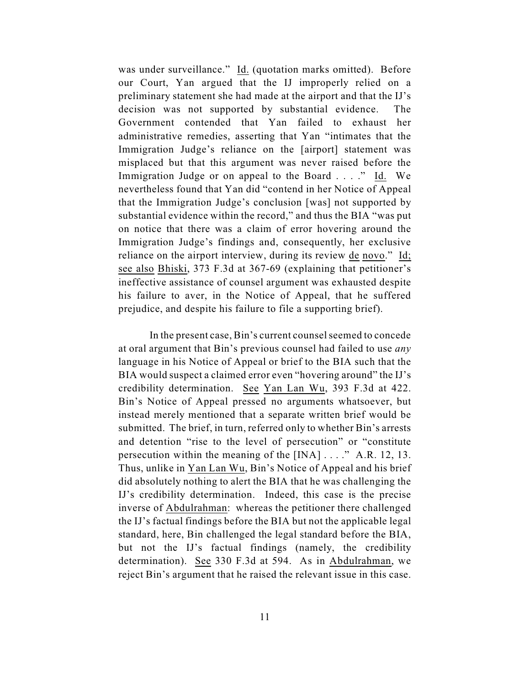was under surveillance." Id. (quotation marks omitted). Before our Court, Yan argued that the IJ improperly relied on a preliminary statement she had made at the airport and that the IJ's decision was not supported by substantial evidence. The Government contended that Yan failed to exhaust her administrative remedies, asserting that Yan "intimates that the Immigration Judge's reliance on the [airport] statement was misplaced but that this argument was never raised before the Immigration Judge or on appeal to the Board . . . ." Id. We nevertheless found that Yan did "contend in her Notice of Appeal that the Immigration Judge's conclusion [was] not supported by substantial evidence within the record," and thus the BIA "was put on notice that there was a claim of error hovering around the Immigration Judge's findings and, consequently, her exclusive reliance on the airport interview, during its review de novo." Id; see also Bhiski, 373 F.3d at 367-69 (explaining that petitioner's ineffective assistance of counsel argument was exhausted despite his failure to aver, in the Notice of Appeal, that he suffered prejudice, and despite his failure to file a supporting brief).

In the present case, Bin's current counsel seemed to concede at oral argument that Bin's previous counsel had failed to use *any* language in his Notice of Appeal or brief to the BIA such that the BIA would suspect a claimed error even "hovering around" the IJ's credibility determination. See Yan Lan Wu, 393 F.3d at 422. Bin's Notice of Appeal pressed no arguments whatsoever, but instead merely mentioned that a separate written brief would be submitted. The brief, in turn, referred only to whether Bin's arrests and detention "rise to the level of persecution" or "constitute persecution within the meaning of the [INA] . . . ." A.R. 12, 13. Thus, unlike in Yan Lan Wu, Bin's Notice of Appeal and his brief did absolutely nothing to alert the BIA that he was challenging the IJ's credibility determination. Indeed, this case is the precise inverse of Abdulrahman: whereas the petitioner there challenged the IJ's factual findings before the BIA but not the applicable legal standard, here, Bin challenged the legal standard before the BIA, but not the IJ's factual findings (namely, the credibility determination). See 330 F.3d at 594. As in Abdulrahman, we reject Bin's argument that he raised the relevant issue in this case.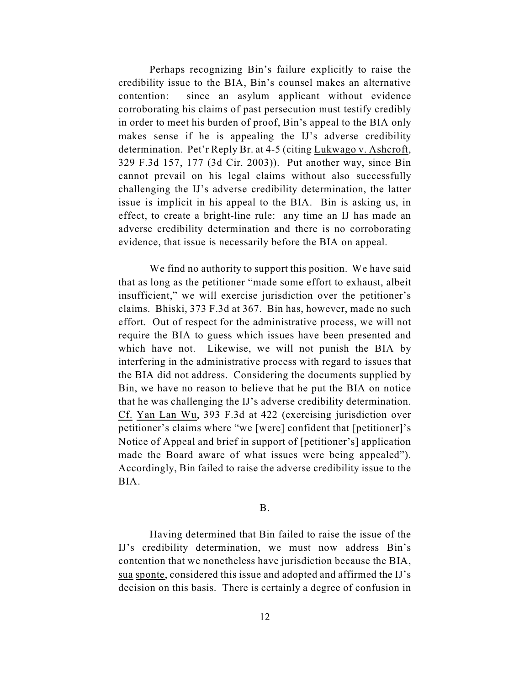Perhaps recognizing Bin's failure explicitly to raise the credibility issue to the BIA, Bin's counsel makes an alternative contention: since an asylum applicant without evidence corroborating his claims of past persecution must testify credibly in order to meet his burden of proof, Bin's appeal to the BIA only makes sense if he is appealing the IJ's adverse credibility determination. Pet'r Reply Br. at 4-5 (citing Lukwago v. Ashcroft, 329 F.3d 157, 177 (3d Cir. 2003)). Put another way, since Bin cannot prevail on his legal claims without also successfully challenging the IJ's adverse credibility determination, the latter issue is implicit in his appeal to the BIA. Bin is asking us, in effect, to create a bright-line rule: any time an IJ has made an adverse credibility determination and there is no corroborating evidence, that issue is necessarily before the BIA on appeal.

We find no authority to support this position. We have said that as long as the petitioner "made some effort to exhaust, albeit insufficient," we will exercise jurisdiction over the petitioner's claims. Bhiski, 373 F.3d at 367. Bin has, however, made no such effort. Out of respect for the administrative process, we will not require the BIA to guess which issues have been presented and which have not. Likewise, we will not punish the BIA by interfering in the administrative process with regard to issues that the BIA did not address. Considering the documents supplied by Bin, we have no reason to believe that he put the BIA on notice that he was challenging the IJ's adverse credibility determination. Cf. Yan Lan Wu, 393 F.3d at 422 (exercising jurisdiction over petitioner's claims where "we [were] confident that [petitioner]'s Notice of Appeal and brief in support of [petitioner's] application made the Board aware of what issues were being appealed"). Accordingly, Bin failed to raise the adverse credibility issue to the BIA.

#### B.

Having determined that Bin failed to raise the issue of the IJ's credibility determination, we must now address Bin's contention that we nonetheless have jurisdiction because the BIA, sua sponte, considered this issue and adopted and affirmed the IJ's decision on this basis. There is certainly a degree of confusion in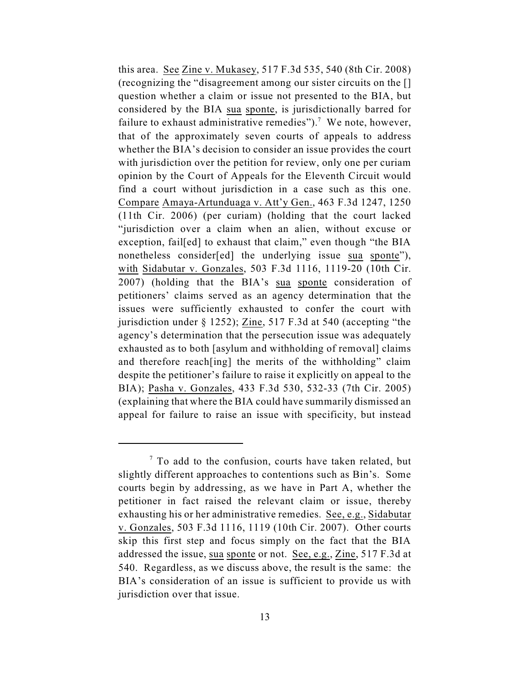this area. See Zine v. Mukasey, 517 F.3d 535, 540 (8th Cir. 2008) (recognizing the "disagreement among our sister circuits on the [] question whether a claim or issue not presented to the BIA, but considered by the BIA sua sponte, is jurisdictionally barred for failure to exhaust administrative remedies").<sup>7</sup> We note, however, that of the approximately seven courts of appeals to address whether the BIA's decision to consider an issue provides the court with jurisdiction over the petition for review, only one per curiam opinion by the Court of Appeals for the Eleventh Circuit would find a court without jurisdiction in a case such as this one. Compare Amaya-Artunduaga v. Att'y Gen., 463 F.3d 1247, 1250 (11th Cir. 2006) (per curiam) (holding that the court lacked "jurisdiction over a claim when an alien, without excuse or exception, fail[ed] to exhaust that claim," even though "the BIA nonetheless consider[ed] the underlying issue sua sponte"), with Sidabutar v. Gonzales, 503 F.3d 1116, 1119-20 (10th Cir. 2007) (holding that the BIA's sua sponte consideration of petitioners' claims served as an agency determination that the issues were sufficiently exhausted to confer the court with jurisdiction under § 1252); Zine, 517 F.3d at 540 (accepting "the agency's determination that the persecution issue was adequately exhausted as to both [asylum and withholding of removal] claims and therefore reach[ing] the merits of the withholding" claim despite the petitioner's failure to raise it explicitly on appeal to the BIA); Pasha v. Gonzales, 433 F.3d 530, 532-33 (7th Cir. 2005) (explaining that where the BIA could have summarily dismissed an appeal for failure to raise an issue with specificity, but instead

 $\frac{7}{7}$  To add to the confusion, courts have taken related, but slightly different approaches to contentions such as Bin's. Some courts begin by addressing, as we have in Part A, whether the petitioner in fact raised the relevant claim or issue, thereby exhausting his or her administrative remedies. See, e.g., Sidabutar v. Gonzales, 503 F.3d 1116, 1119 (10th Cir. 2007). Other courts skip this first step and focus simply on the fact that the BIA addressed the issue, sua sponte or not. See, e.g., Zine, 517 F.3d at 540. Regardless, as we discuss above, the result is the same: the BIA's consideration of an issue is sufficient to provide us with jurisdiction over that issue.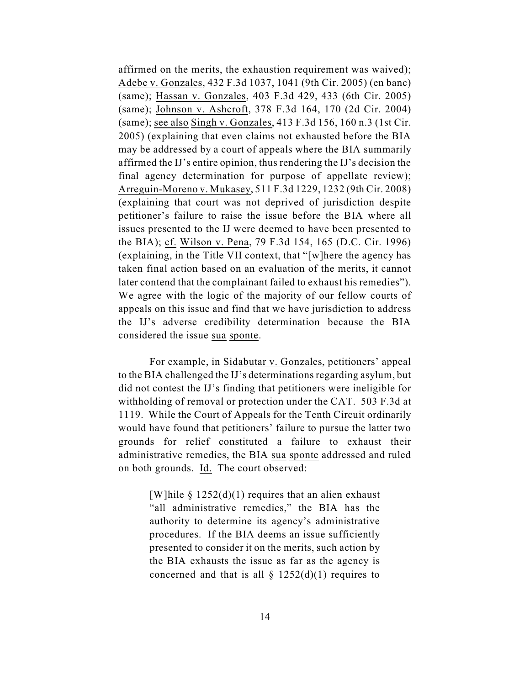affirmed on the merits, the exhaustion requirement was waived); Adebe v. Gonzales, 432 F.3d 1037, 1041 (9th Cir. 2005) (en banc) (same); Hassan v. Gonzales, 403 F.3d 429, 433 (6th Cir. 2005) (same); Johnson v. Ashcroft, 378 F.3d 164, 170 (2d Cir. 2004) (same); see also Singh v. Gonzales, 413 F.3d 156, 160 n.3 (1st Cir. 2005) (explaining that even claims not exhausted before the BIA may be addressed by a court of appeals where the BIA summarily affirmed the IJ's entire opinion, thus rendering the IJ's decision the final agency determination for purpose of appellate review); Arreguin-Moreno v. Mukasey, 511 F.3d 1229, 1232 (9th Cir. 2008) (explaining that court was not deprived of jurisdiction despite petitioner's failure to raise the issue before the BIA where all issues presented to the IJ were deemed to have been presented to the BIA); cf. Wilson v. Pena, 79 F.3d 154, 165 (D.C. Cir. 1996) (explaining, in the Title VII context, that "[w]here the agency has taken final action based on an evaluation of the merits, it cannot later contend that the complainant failed to exhaust his remedies"). We agree with the logic of the majority of our fellow courts of appeals on this issue and find that we have jurisdiction to address the IJ's adverse credibility determination because the BIA considered the issue sua sponte.

For example, in Sidabutar v. Gonzales, petitioners' appeal to the BIA challenged the IJ's determinations regarding asylum, but did not contest the IJ's finding that petitioners were ineligible for withholding of removal or protection under the CAT. 503 F.3d at 1119. While the Court of Appeals for the Tenth Circuit ordinarily would have found that petitioners' failure to pursue the latter two grounds for relief constituted a failure to exhaust their administrative remedies, the BIA sua sponte addressed and ruled on both grounds. Id. The court observed:

> [W]hile  $\S$  1252(d)(1) requires that an alien exhaust "all administrative remedies," the BIA has the authority to determine its agency's administrative procedures. If the BIA deems an issue sufficiently presented to consider it on the merits, such action by the BIA exhausts the issue as far as the agency is concerned and that is all  $\S$  1252(d)(1) requires to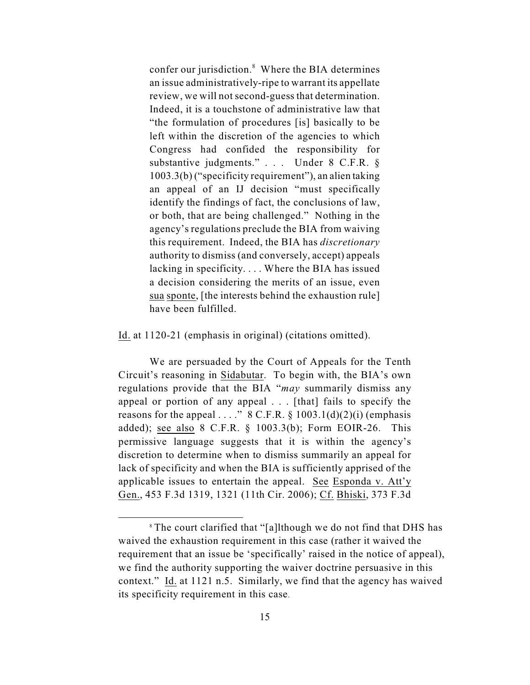confer our jurisdiction.<sup>8</sup> Where the BIA determines an issue administratively-ripe to warrant its appellate review, we will not second-guess that determination. Indeed, it is a touchstone of administrative law that "the formulation of procedures [is] basically to be left within the discretion of the agencies to which Congress had confided the responsibility for substantive judgments." . . . Under 8 C.F.R. § 1003.3(b) ("specificity requirement"), an alien taking an appeal of an IJ decision "must specifically identify the findings of fact, the conclusions of law, or both, that are being challenged." Nothing in the agency's regulations preclude the BIA from waiving this requirement. Indeed, the BIA has *discretionary* authority to dismiss (and conversely, accept) appeals lacking in specificity. . . . Where the BIA has issued a decision considering the merits of an issue, even sua sponte, [the interests behind the exhaustion rule] have been fulfilled.

Id. at 1120-21 (emphasis in original) (citations omitted).

We are persuaded by the Court of Appeals for the Tenth Circuit's reasoning in Sidabutar. To begin with, the BIA's own regulations provide that the BIA "*may* summarily dismiss any appeal or portion of any appeal . . . [that] fails to specify the reasons for the appeal . . . ."  $8 \text{ C.F.R.} \$   $1003.1(d)(2)(i)$  (emphasis added); see also 8 C.F.R. § 1003.3(b); Form EOIR-26. This permissive language suggests that it is within the agency's discretion to determine when to dismiss summarily an appeal for lack of specificity and when the BIA is sufficiently apprised of the applicable issues to entertain the appeal. See Esponda v. Att'y Gen., 453 F.3d 1319, 1321 (11th Cir. 2006); Cf. Bhiski, 373 F.3d

<sup>&</sup>lt;sup>8</sup> The court clarified that "[a]lthough we do not find that DHS has waived the exhaustion requirement in this case (rather it waived the requirement that an issue be 'specifically' raised in the notice of appeal), we find the authority supporting the waiver doctrine persuasive in this context." Id. at 1121 n.5. Similarly, we find that the agency has waived its specificity requirement in this case.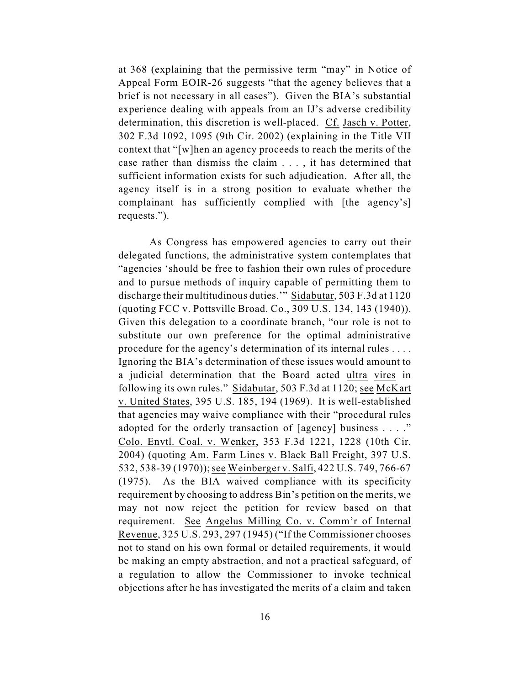at 368 (explaining that the permissive term "may" in Notice of Appeal Form EOIR-26 suggests "that the agency believes that a brief is not necessary in all cases"). Given the BIA's substantial experience dealing with appeals from an IJ's adverse credibility determination, this discretion is well-placed. Cf. Jasch v. Potter, 302 F.3d 1092, 1095 (9th Cir. 2002) (explaining in the Title VII context that "[w]hen an agency proceeds to reach the merits of the case rather than dismiss the claim . . . , it has determined that sufficient information exists for such adjudication. After all, the agency itself is in a strong position to evaluate whether the complainant has sufficiently complied with [the agency's] requests.").

As Congress has empowered agencies to carry out their delegated functions, the administrative system contemplates that "agencies 'should be free to fashion their own rules of procedure and to pursue methods of inquiry capable of permitting them to discharge their multitudinous duties.'" Sidabutar, 503 F.3d at 1120 (quoting FCC v. Pottsville Broad. Co., 309 U.S. 134, 143 (1940)). Given this delegation to a coordinate branch, "our role is not to substitute our own preference for the optimal administrative procedure for the agency's determination of its internal rules . . . . Ignoring the BIA's determination of these issues would amount to a judicial determination that the Board acted ultra vires in following its own rules." Sidabutar, 503 F.3d at 1120; see McKart v. United States, 395 U.S. 185, 194 (1969). It is well-established that agencies may waive compliance with their "procedural rules adopted for the orderly transaction of [agency] business . . . ." Colo. Envtl. Coal. v. Wenker, 353 F.3d 1221, 1228 (10th Cir. 2004) (quoting Am. Farm Lines v. Black Ball Freight, 397 U.S. 532, 538-39 (1970)); see Weinberger v. Salfi, 422 U.S. 749, 766-67 (1975). As the BIA waived compliance with its specificity requirement by choosing to address Bin's petition on the merits, we may not now reject the petition for review based on that requirement. See Angelus Milling Co. v. Comm'r of Internal Revenue, 325 U.S. 293, 297 (1945) ("If the Commissioner chooses not to stand on his own formal or detailed requirements, it would be making an empty abstraction, and not a practical safeguard, of a regulation to allow the Commissioner to invoke technical objections after he has investigated the merits of a claim and taken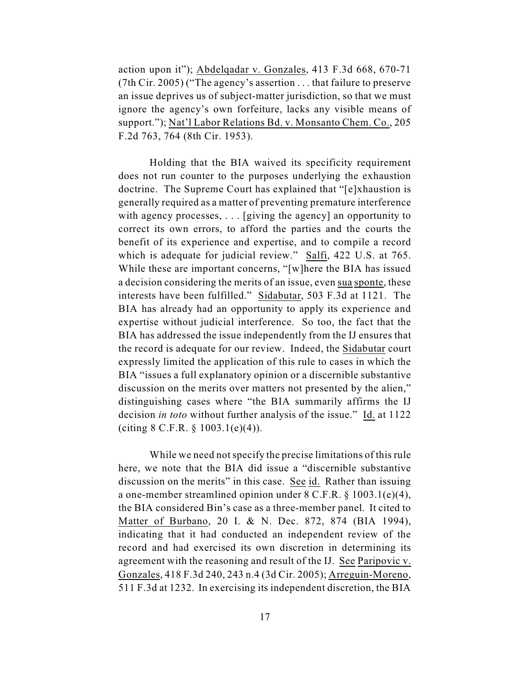action upon it"); Abdelqadar v. Gonzales, 413 F.3d 668, 670-71 (7th Cir. 2005) ("The agency's assertion . . . that failure to preserve an issue deprives us of subject-matter jurisdiction, so that we must ignore the agency's own forfeiture, lacks any visible means of support."); Nat'l Labor Relations Bd. v. Monsanto Chem. Co., 205 F.2d 763, 764 (8th Cir. 1953).

Holding that the BIA waived its specificity requirement does not run counter to the purposes underlying the exhaustion doctrine. The Supreme Court has explained that "[e]xhaustion is generally required as a matter of preventing premature interference with agency processes, . . . [giving the agency] an opportunity to correct its own errors, to afford the parties and the courts the benefit of its experience and expertise, and to compile a record which is adequate for judicial review." Salfi, 422 U.S. at 765. While these are important concerns, "[w]here the BIA has issued a decision considering the merits of an issue, even sua sponte, these interests have been fulfilled." Sidabutar, 503 F.3d at 1121. The BIA has already had an opportunity to apply its experience and expertise without judicial interference. So too, the fact that the BIA has addressed the issue independently from the IJ ensures that the record is adequate for our review. Indeed, the Sidabutar court expressly limited the application of this rule to cases in which the BIA "issues a full explanatory opinion or a discernible substantive discussion on the merits over matters not presented by the alien," distinguishing cases where "the BIA summarily affirms the IJ decision *in toto* without further analysis of the issue." Id. at 1122 (citing  $8 \text{ C.F.R.} \$   $1003.1(e)(4)$ ).

While we need not specify the precise limitations of this rule here, we note that the BIA did issue a "discernible substantive discussion on the merits" in this case. See id. Rather than issuing a one-member streamlined opinion under 8 C.F.R. § 1003.1(e)(4), the BIA considered Bin's case as a three-member panel. It cited to Matter of Burbano, 20 I. & N. Dec. 872, 874 (BIA 1994), indicating that it had conducted an independent review of the record and had exercised its own discretion in determining its agreement with the reasoning and result of the IJ. See Paripovic v. Gonzales, 418 F.3d 240, 243 n.4 (3d Cir. 2005); Arreguin-Moreno, 511 F.3d at 1232. In exercising its independent discretion, the BIA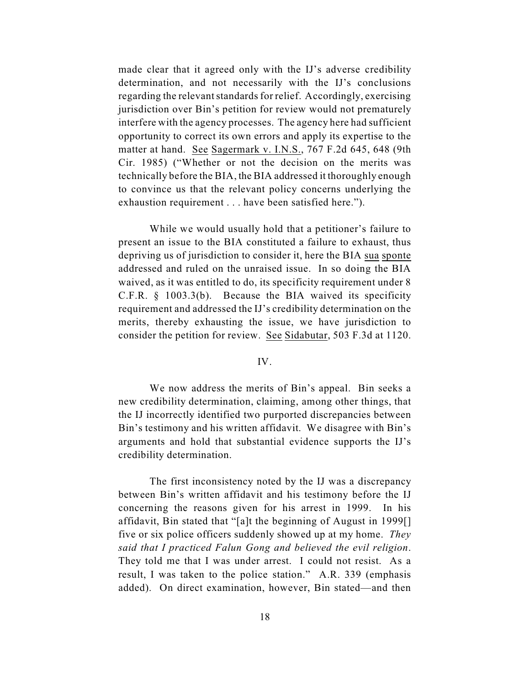made clear that it agreed only with the IJ's adverse credibility determination, and not necessarily with the IJ's conclusions regarding the relevant standards for relief. Accordingly, exercising jurisdiction over Bin's petition for review would not prematurely interfere with the agency processes. The agency here had sufficient opportunity to correct its own errors and apply its expertise to the matter at hand. See Sagermark v. I.N.S., 767 F.2d 645, 648 (9th Cir. 1985) ("Whether or not the decision on the merits was technically before the BIA, the BIA addressed it thoroughly enough to convince us that the relevant policy concerns underlying the exhaustion requirement . . . have been satisfied here.").

While we would usually hold that a petitioner's failure to present an issue to the BIA constituted a failure to exhaust, thus depriving us of jurisdiction to consider it, here the BIA sua sponte addressed and ruled on the unraised issue. In so doing the BIA waived, as it was entitled to do, its specificity requirement under 8 C.F.R. § 1003.3(b). Because the BIA waived its specificity requirement and addressed the IJ's credibility determination on the merits, thereby exhausting the issue, we have jurisdiction to consider the petition for review. See Sidabutar, 503 F.3d at 1120.

### IV.

We now address the merits of Bin's appeal. Bin seeks a new credibility determination, claiming, among other things, that the IJ incorrectly identified two purported discrepancies between Bin's testimony and his written affidavit. We disagree with Bin's arguments and hold that substantial evidence supports the IJ's credibility determination.

The first inconsistency noted by the IJ was a discrepancy between Bin's written affidavit and his testimony before the IJ concerning the reasons given for his arrest in 1999. In his affidavit, Bin stated that "[a]t the beginning of August in 1999[] five or six police officers suddenly showed up at my home. *They said that I practiced Falun Gong and believed the evil religion*. They told me that I was under arrest. I could not resist. As a result, I was taken to the police station." A.R. 339 (emphasis added). On direct examination, however, Bin stated—and then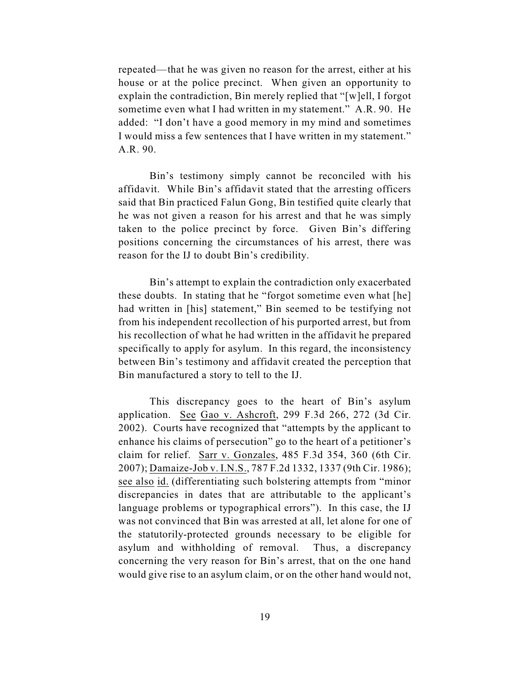repeated—that he was given no reason for the arrest, either at his house or at the police precinct. When given an opportunity to explain the contradiction, Bin merely replied that "[w]ell, I forgot sometime even what I had written in my statement." A.R. 90. He added: "I don't have a good memory in my mind and sometimes I would miss a few sentences that I have written in my statement." A.R. 90.

Bin's testimony simply cannot be reconciled with his affidavit. While Bin's affidavit stated that the arresting officers said that Bin practiced Falun Gong, Bin testified quite clearly that he was not given a reason for his arrest and that he was simply taken to the police precinct by force. Given Bin's differing positions concerning the circumstances of his arrest, there was reason for the IJ to doubt Bin's credibility.

Bin's attempt to explain the contradiction only exacerbated these doubts. In stating that he "forgot sometime even what [he] had written in [his] statement," Bin seemed to be testifying not from his independent recollection of his purported arrest, but from his recollection of what he had written in the affidavit he prepared specifically to apply for asylum. In this regard, the inconsistency between Bin's testimony and affidavit created the perception that Bin manufactured a story to tell to the IJ.

This discrepancy goes to the heart of Bin's asylum application. See Gao v. Ashcroft, 299 F.3d 266, 272 (3d Cir. 2002). Courts have recognized that "attempts by the applicant to enhance his claims of persecution" go to the heart of a petitioner's claim for relief. Sarr v. Gonzales, 485 F.3d 354, 360 (6th Cir. 2007); Damaize-Job v. I.N.S., 787 F.2d 1332, 1337 (9th Cir. 1986); see also id. (differentiating such bolstering attempts from "minor discrepancies in dates that are attributable to the applicant's language problems or typographical errors"). In this case, the IJ was not convinced that Bin was arrested at all, let alone for one of the statutorily-protected grounds necessary to be eligible for asylum and withholding of removal. Thus, a discrepancy concerning the very reason for Bin's arrest, that on the one hand would give rise to an asylum claim, or on the other hand would not,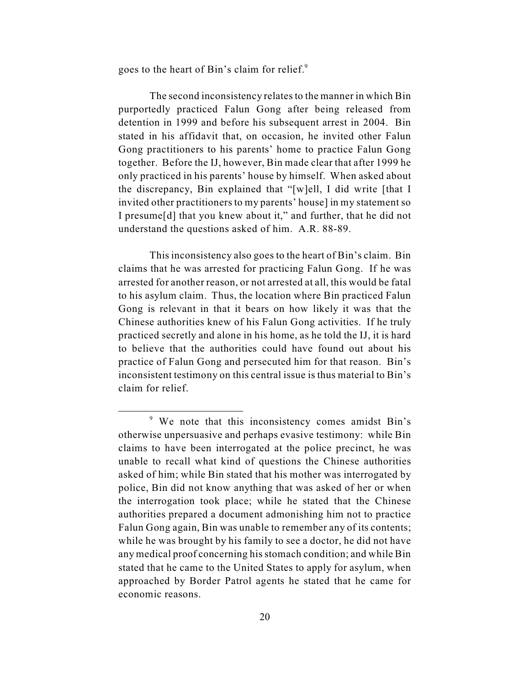goes to the heart of Bin's claim for relief.<sup>9</sup>

The second inconsistency relates to the manner in which Bin purportedly practiced Falun Gong after being released from detention in 1999 and before his subsequent arrest in 2004. Bin stated in his affidavit that, on occasion, he invited other Falun Gong practitioners to his parents' home to practice Falun Gong together. Before the IJ, however, Bin made clear that after 1999 he only practiced in his parents' house by himself. When asked about the discrepancy, Bin explained that "[w]ell, I did write [that I invited other practitioners to my parents' house] in my statement so I presume[d] that you knew about it," and further, that he did not understand the questions asked of him. A.R. 88-89.

This inconsistency also goes to the heart of Bin's claim. Bin claims that he was arrested for practicing Falun Gong. If he was arrested for another reason, or not arrested at all, this would be fatal to his asylum claim. Thus, the location where Bin practiced Falun Gong is relevant in that it bears on how likely it was that the Chinese authorities knew of his Falun Gong activities. If he truly practiced secretly and alone in his home, as he told the IJ, it is hard to believe that the authorities could have found out about his practice of Falun Gong and persecuted him for that reason. Bin's inconsistent testimony on this central issue is thus material to Bin's claim for relief.

<sup>&</sup>lt;sup>9</sup> We note that this inconsistency comes amidst Bin's otherwise unpersuasive and perhaps evasive testimony: while Bin claims to have been interrogated at the police precinct, he was unable to recall what kind of questions the Chinese authorities asked of him; while Bin stated that his mother was interrogated by police, Bin did not know anything that was asked of her or when the interrogation took place; while he stated that the Chinese authorities prepared a document admonishing him not to practice Falun Gong again, Bin was unable to remember any of its contents; while he was brought by his family to see a doctor, he did not have any medical proof concerning his stomach condition; and while Bin stated that he came to the United States to apply for asylum, when approached by Border Patrol agents he stated that he came for economic reasons.